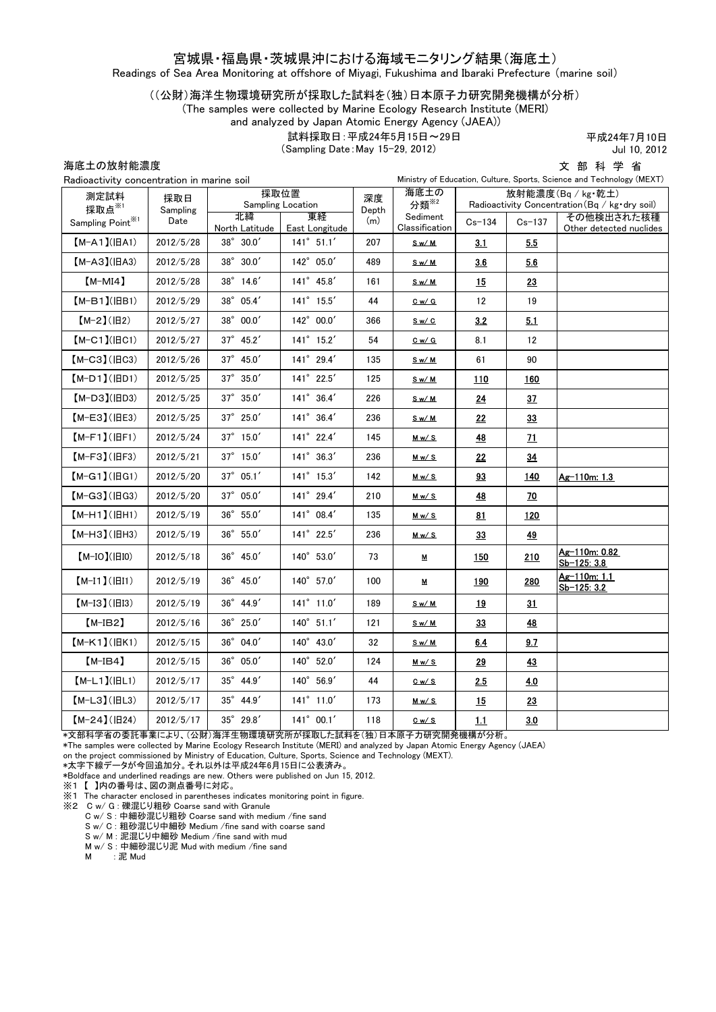### 宮城県・福島県・茨城県沖における海域モニタリング結果(海底土)

Readings of Sea Area Monitoring at offshore of Miyagi, Fukushima and Ibaraki Prefecture (marine soil)

### ((公財)海洋生物環境研究所が採取した試料を(独)日本原子力研究開発機構が分析)

(The samples were collected by Marine Ecology Research Institute (MERI)

and analyzed by Japan Atomic Energy Agency (JAEA))

試料採取日:平成24年5月15日~29日

(Sampling Date:May 15-29, 2012)

平成24年7月10日 Jul 10, 2012

海底土の放射能濃度

文 部 科 学 省

| Radioactivity concentration in marine soil |                 |                           |                      |             | Ministry of Education, Culture, Sports, Science and Technology (MEXT) |                                                                                     |             |                                       |
|--------------------------------------------|-----------------|---------------------------|----------------------|-------------|-----------------------------------------------------------------------|-------------------------------------------------------------------------------------|-------------|---------------------------------------|
| 測定試料<br>採取点※1                              | 採取日<br>Sampling | 採取位置<br>Sampling Location |                      | 深度<br>Depth | 海底土の<br>分類 <sup>※2</sup>                                              | 放射能濃度(Bq / kg·乾土)<br>Radioactivity Concentration $(Bq / kg \cdot dry \text{ soil})$ |             |                                       |
| Sampling Point <sup>*1</sup>               | Date            | 北緯<br>North Latitude      | 東経<br>East Longitude | (m)         | Sediment<br>Classification                                            | $Cs - 134$                                                                          | $Cs - 137$  | その他検出された核種<br>Other detected nuclides |
| $[M-A1](HA1)$                              | 2012/5/28       | $38^{\circ}$ 30.0'        | $141^{\circ}$ 51.1'  | 207         | Sw/M                                                                  | 3.1                                                                                 | 5.5         |                                       |
| $[M-A3](HA3)$                              | 2012/5/28       | 38° 30.0'                 | 142° 05.0'           | 489         | <u>Sw/M</u>                                                           | 36                                                                                  | 5.6         |                                       |
| $[M-MI4]$                                  | 2012/5/28       | 38° 14.6'                 | 141° 45.8'           | 161         | <u>Sw/M</u>                                                           | 15                                                                                  | 23          |                                       |
| $[M-B1]$ ( $ BB1$ )                        | 2012/5/29       | 38° 05.4'                 | 141° 15.5'           | 44          | Cw/G                                                                  | 12                                                                                  | 19          |                                       |
| $[M-2](H2)$                                | 2012/5/27       | $38^{\circ}$ 00.0'        | 142° 00.0'           | 366         | Sw/C                                                                  | 3.2                                                                                 | 5.1         |                                       |
| $[M-C1]$ ( $ BC1$ )                        | 2012/5/27       | $37^{\circ}$ 45.2'        | $141^{\circ}$ 15.2'  | 54          | Cw/G                                                                  | 8.1                                                                                 | 12          |                                       |
| $[M-C3] (HC3)$                             | 2012/5/26       | 37° 45.0'                 | 141° 29.4'           | 135         | <u>Sw/M</u>                                                           | 61                                                                                  | 90          |                                       |
| $[M-D1]$ ( $ BD1$ )                        | 2012/5/25       | 37° 35.0'                 | 141° 22.5'           | 125         | Sw/M                                                                  | 110                                                                                 | <u> 160</u> |                                       |
| $[M-D3]$ ( $ BD3$ )                        | 2012/5/25       | 37° 35.0'                 | 141° 36.4'           | 226         | Sw/M                                                                  | 24                                                                                  | 37          |                                       |
| $[M-E3]$ (IEE3)                            | 2012/5/25       | 37° 25.0'                 | 141° 36.4'           | 236         | Sw/M                                                                  | 22                                                                                  | 33          |                                       |
| $[M-F1]$ ( $ HF1$ )                        | 2012/5/24       | $37^{\circ}$ 15.0'        | $141^{\circ}$ 22.4'  | 145         | M w / S                                                               | <u>48</u>                                                                           | <u> 71</u>  |                                       |
| $[M-F3](HF3)$                              | 2012/5/21       | 37° 15.0'                 | 141° 36.3'           | 236         | M w / S                                                               | 22                                                                                  | 34          |                                       |
| $[M-G1]$ ( $ HG1$ )                        | 2012/5/20       | $37^{\circ}$ 05.1'        | $141^{\circ}$ 15.3'  | 142         | M w / S                                                               | 93                                                                                  | 140         | Ag-110m: 1.3                          |
| $[M-G3]$ ( $H$ G3)                         | 2012/5/20       | $37^{\circ}$ 05.0'        | 141° 29.4'           | 210         | <u>Mw/S</u>                                                           | <u>48</u>                                                                           | <u>70</u>   |                                       |
| $[M-H1]$ ( $ HH1$ )                        | 2012/5/19       | 36° 55.0'                 | 141° 08.4'           | 135         | M w / S                                                               | 81                                                                                  | <u>120</u>  |                                       |
| $[M-H3]$ (IBH3)                            | 2012/5/19       | 36° 55.0'                 | 141° 22.5'           | 236         | M w / S                                                               | 33                                                                                  | <u>49</u>   |                                       |
| $[M-IO]( HIO)$                             | 2012/5/18       | $36^{\circ}$ 45.0'        | 140° 53.0'           | 73          | M                                                                     | 150                                                                                 | 210         | Ag-110m: 0.82<br>Sb-125: 3.8          |
| $[M-I1] ( H1)$                             | 2012/5/19       | $36^{\circ}$ 45.0'        | 140° 57.0'           | 100         | М                                                                     | 190                                                                                 | 280         | Ag-110m: 1.1<br>Sb-125: 3.2           |
| $[M-I3](H13)$                              | 2012/5/19       | 36° 44.9'                 | $141^{\circ}$ 11.0'  | 189         | Sw/M                                                                  | 19                                                                                  | 31          |                                       |
| $[M-IB2]$                                  | 2012/5/16       | $36^{\circ}$ 25.0'        | $140^{\circ}$ 51.1'  | 121         | Sw/M                                                                  | 33                                                                                  | <u>48</u>   |                                       |
| $[M-K1]$ ( $ HK1$ )                        | 2012/5/15       | 36° 04.0'                 | 140° 43.0'           | 32          | Sw/M                                                                  | 6.4                                                                                 | 9.7         |                                       |
| $[M-IB4]$                                  | 2012/5/15       | 36° 05.0'                 | 140° 52.0'           | 124         | Mw/S                                                                  | 29                                                                                  | <u>43</u>   |                                       |
| $[M-L1](HLI)$                              | 2012/5/17       | 35° 44.9'                 | 140° 56.9'           | 44          | $C_w / S$                                                             | 2.5                                                                                 | 4.0         |                                       |
| $[M-L3]$ ( $ HL3$ )                        | 2012/5/17       | 35° 44.9'                 | 141° 11.0'           | 173         | M w / S                                                               | 15                                                                                  | 23          |                                       |
| $[M-24](H24)$                              | 2012/5/17       | 35° 29.8'                 | $141^{\circ}$ 00.1'  | 118         | Cw/S                                                                  | 1.1                                                                                 | 3.0         |                                       |

\*文部科学省の委託事業により、(公財)海洋生物環境研究所が採取した試料を(独)日本原子力研究開発機構が分析。

\*The samples were collected by Marine Ecology Research Institute (MERI) and analyzed by Japan Atomic Energy Agency (JAEA)

on the project commissioned by Ministry of Education, Culture, Sports, Science and Technology (MEXT).

\*太字下線データが今回追加分。それ以外は平成24年6月15日に公表済み。

\*Boldface and underlined readings are new. Others were published on Jun 15, 2012.

※1 【 】内の番号は、図の測点番号に対応。

※1 The character enclosed in parentheses indicates monitoring point in figure.

※2 C w/ G : 礫混じり粗砂 Coarse sand with Granule

C w/ S : 中細砂混じり粗砂 Coarse sand with medium /fine sand

S w/ C : 粗砂混じり中細砂 Medium /fine sand with coarse sand

S w/ M : 泥混じり中細砂 Medium /fine sand with mud

M w/ S : 中細砂混じり泥 Mud with medium /fine sand<br>M ∴ 泥 Mud

M : 泥 Mud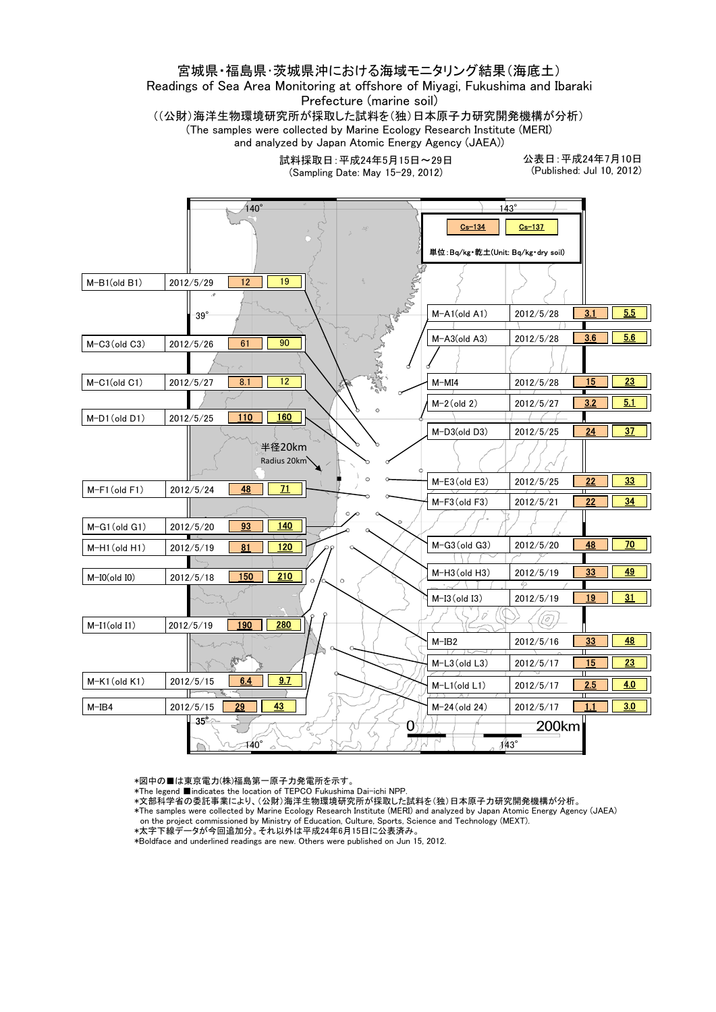### 宮城県・福島県・茨城県沖における海域モニタリング結果(海底土) Readings of Sea Area Monitoring at offshore of Miyagi, Fukushima and Ibaraki Prefecture (marine soil)

((公財)海洋生物環境研究所が採取した試料を(独)日本原子力研究開発機構が分析) (The samples were collected by Marine Ecology Research Institute (MERI) and analyzed by Japan Atomic Energy Agency (JAEA))

> 試料採取日:平成24年5月15日~29日 (Sampling Date: May 15-29, 2012)

公表日:平成24年7月10日 (Published: Jul 10, 2012)



\*図中の■は東京電力(株)福島第一原子力発電所を示す。

- \*The legend ■indicates the location of TEPCO Fukushima Dai-ichi NPP.
- \*文部科学省の委託事業により、(公財)海洋生物環境研究所が採取した試料を(独)日本原子力研究開発機構が分析。
- \*The samples were collected by Marine Ecology Research Institute (MERI) and analyzed by Japan Atomic Energy Agency (JAEA)
- on the project commissioned by Ministry of Education, Culture, Sports, Science and Technology (MEXT).
- \*太字下線データが今回追加分。それ以外は平成24年6月15日に公表済み。
- \*Boldface and underlined readings are new. Others were published on Jun 15, 2012.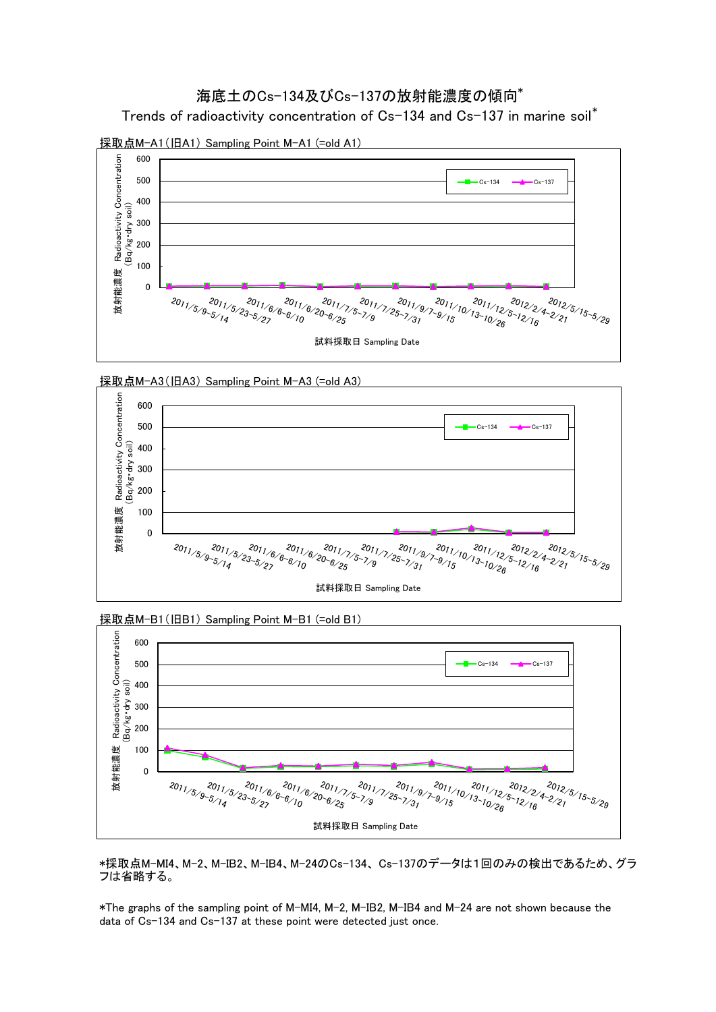### 海底土のCs-134及びCs-137の放射能濃度の傾向<sup>\*</sup>

Trends of radioactivity concentration of Cs-134 and Cs-137 in marine soil\*



採取点M-A1(旧A1) Sampling Point M-A1 (=old A1)







採取点M-B1(旧B1) Sampling Point M-B1 (=old B1)

\*採取点M-MI4、M-2、M-IB2、M-IB4、M-24のCs-134、 Cs-137のデータは1回のみの検出であるため、グラ フは省略する。

\*The graphs of the sampling point of M-MI4, M-2, M-IB2, M-IB4 and M-24 are not shown because the data of Cs-134 and Cs-137 at these point were detected just once.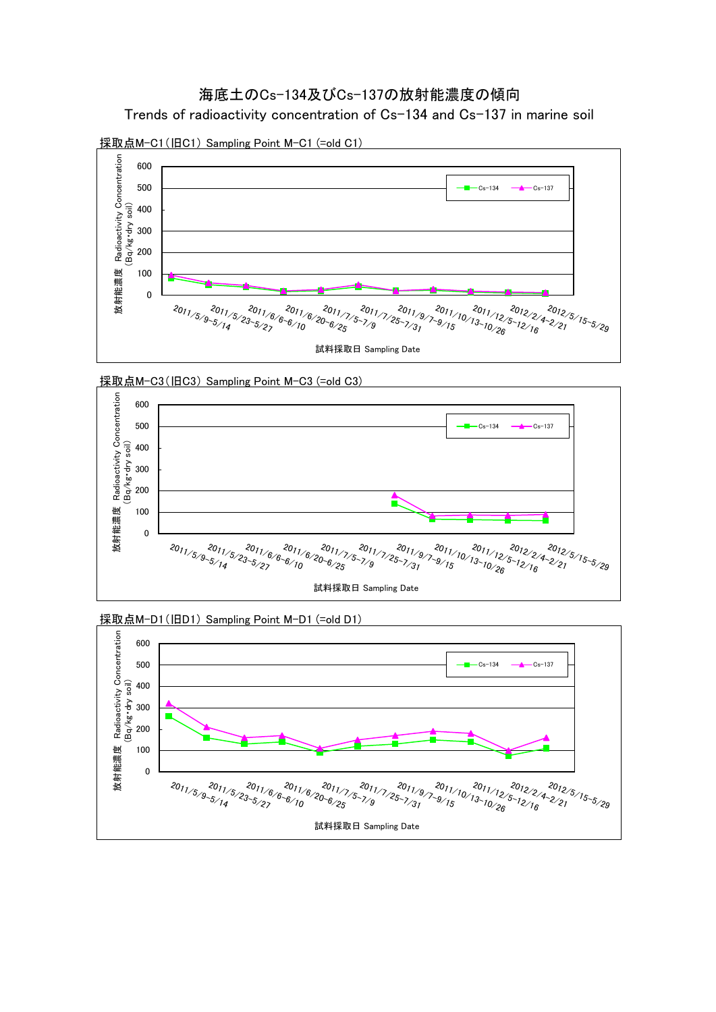







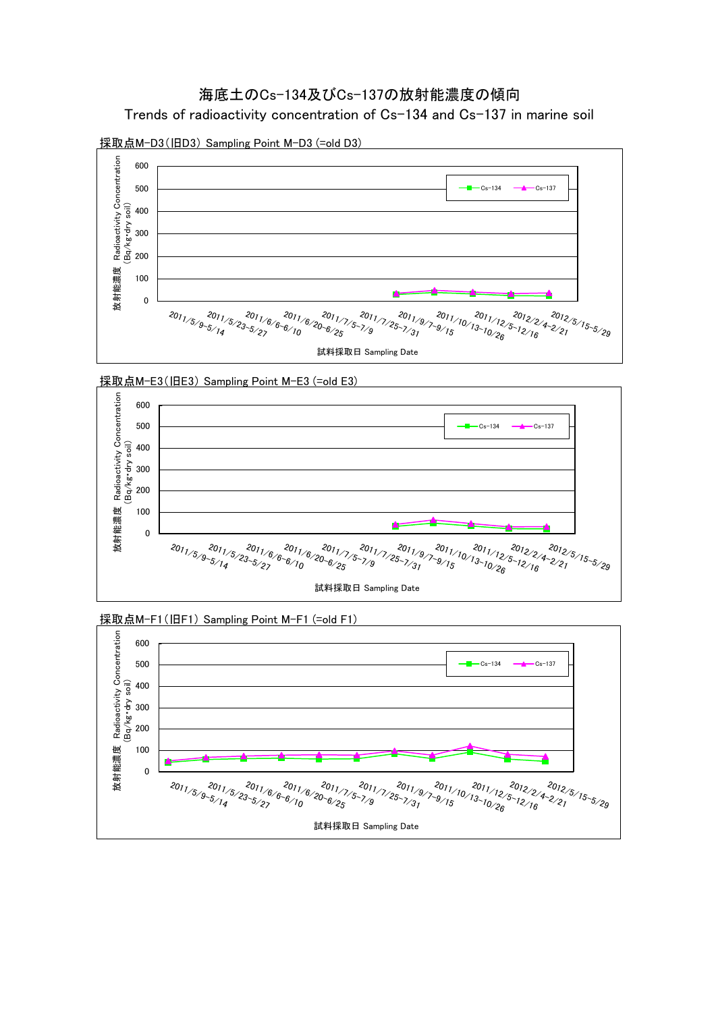Trends of radioactivity concentration of Cs-134 and Cs-137 in marine soil



採取点M-D3(旧D3) Sampling Point M-D3 (=old D3)





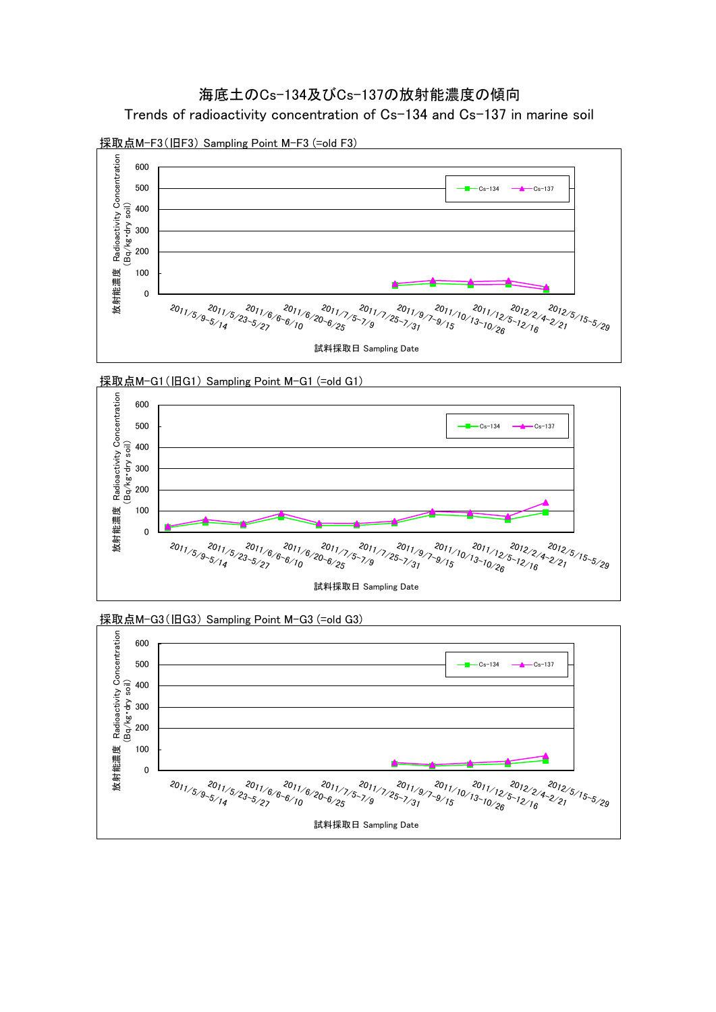Trends of radioactivity concentration of Cs-134 and Cs-137 in marine soil



採取点M-F3(旧F3) Sampling Point M-F3 (=old F3)









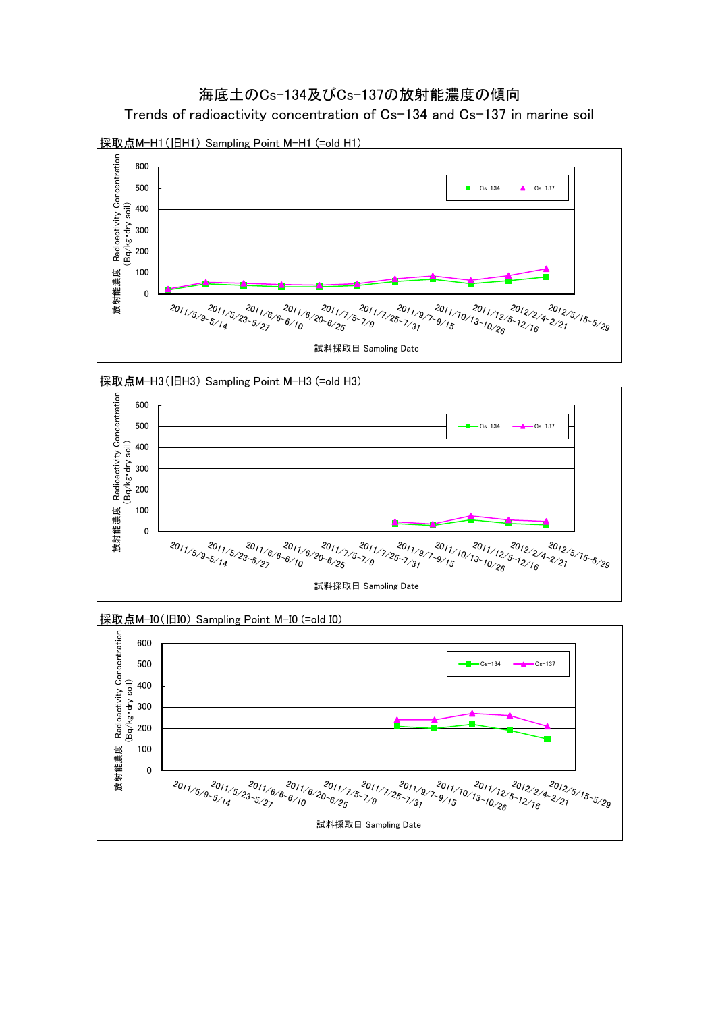







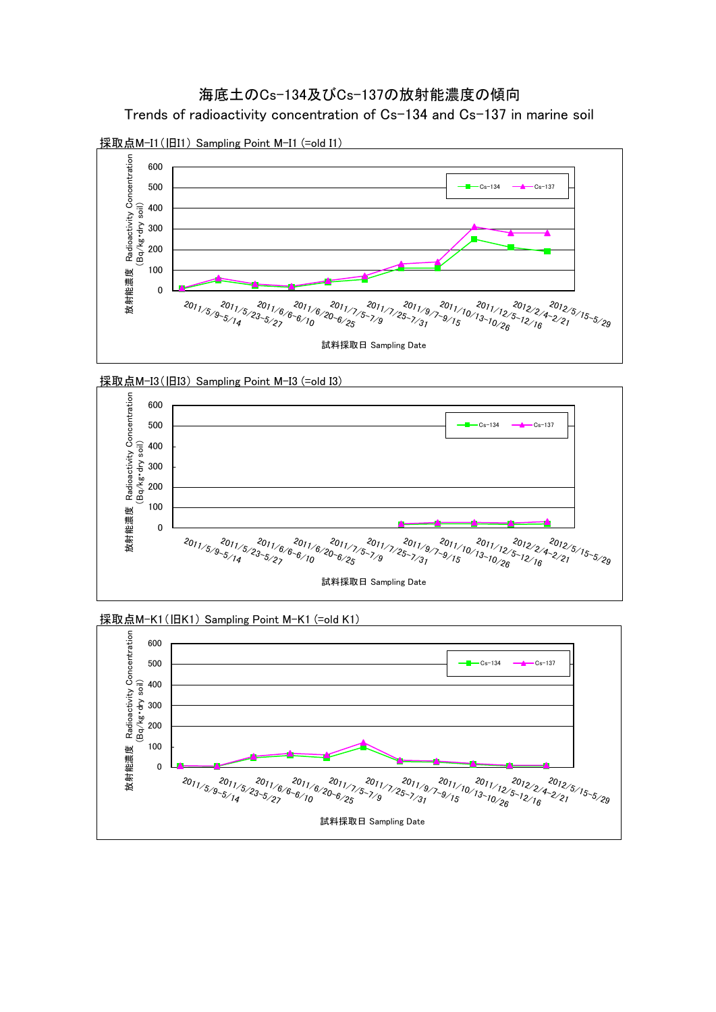